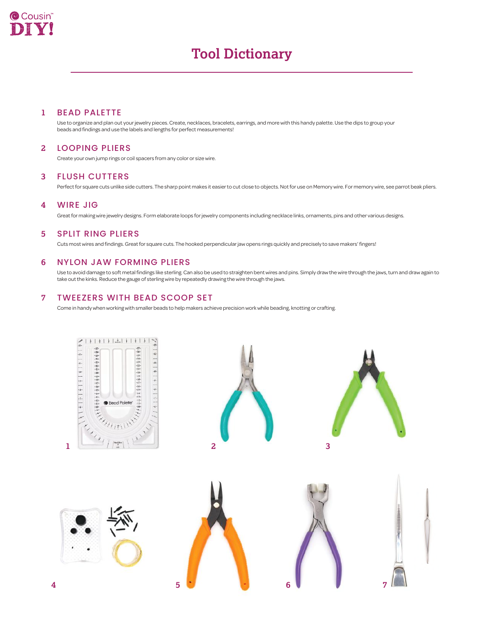

# **Tool Dictionary**

#### **1** BEAD PALETTE

Use to organize and plan out your jewelry pieces. Create, necklaces, bracelets, earrings, and more with this handy palette. Use the dips to group your beads and findings and use the labels and lengths for perfect measurements!

#### LOOPING PLIERS **2**

Create your own jump rings or coil spacers from any color or size wire.

#### FLUSH CUTTERS **3**

Perfect for square cuts unlike side cutters. The sharp point makes it easier to cut close to objects. Not for use on Memory wire. For memory wire, see parrot beak pliers.

## **4** WIRE JIG

Great for making wire jewelry designs. Form elaborate loops for jewelry components including necklace links, ornaments, pins and other various designs.

## **5** SPLIT RING PLIERS

Cuts most wires and findings. Great for square cuts. The hooked perpendicular jaw opens rings quickly and precisely to save makers' fingers!

## **6** NYLON JAW FORMING PLIERS

Use to avoid damage to soft metal findings like sterling. Can also be used to straighten bent wires and pins. Simply draw the wire through the jaws, turn and draw again to take out the kinks. Reduce the gauge of sterling wire by repeatedly drawing the wire through the jaws.

#### **7** TWEEZERS WITH BEAD SCOOP SET

Come in handy when working with smaller beads to help makers achieve precision work while beading, knotting or crafting.

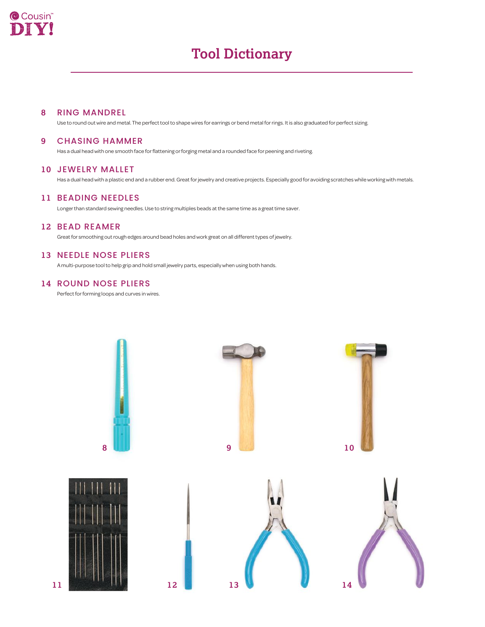

# **Tool Dictionary**

#### RING MANDREL **8**

Use to round out wire and metal. The perfect tool to shape wires for earrings or bend metal for rings. It is also graduated for perfect sizing.

#### CHASING HAMMER **9**

Has a dual head with one smooth face for flattening or forging metal and a rounded face for peening and riveting.

### **10** JEWELRY MALLET

Has a dual head with a plastic end and a rubber end. Great for jewelry and creative projects. Especially good for avoiding scratches while working with metals.

#### **11** BEADING NEEDLES

Longer than standard sewing needles. Use to string multiples beads at the same time as a great time saver.

# **12** BEAD REAMER

Great for smoothing out rough edges around bead holes and work great on all different types of jewelry.

# **13** NEEDLE NOSE PLIERS

A multi-purpose tool to help grip and hold small jewelry parts, especially when using both hands.

### **14** ROUND NOSE PLIERS

Perfect for forming loops and curves in wires.